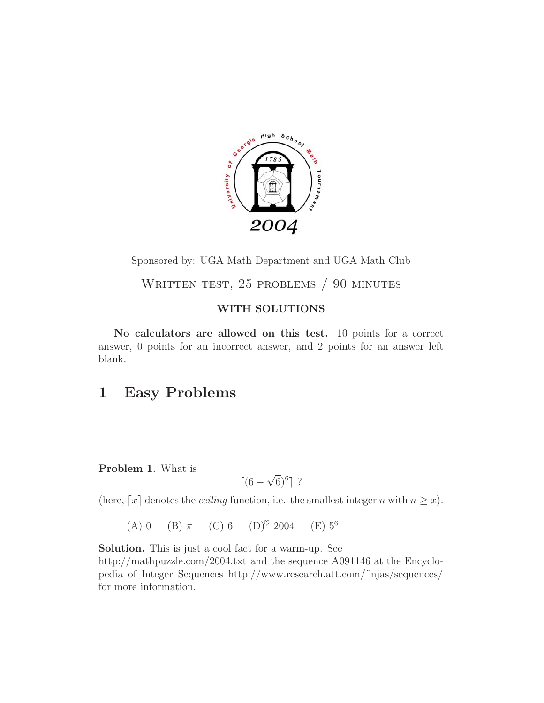

Sponsored by: UGA Math Department and UGA Math Club

WRITTEN TEST, 25 PROBLEMS / 90 MINUTES

#### **WITH SOLUTIONS**

**No calculators are allowed on this test.** 10 points for a correct answer, 0 points for an incorrect answer, and 2 points for an answer left blank.

# **1 Easy Problems**

#### **Problem 1.** What is

$$
\left[ (6 - \sqrt{6})^6 \right]
$$
?

(here,  $\lceil x \rceil$  denotes the *ceiling* function, i.e. the smallest integer n with  $n \geq x$ ).

(A) 0 (B)  $\pi$  (C) 6 (D)<sup> $\heartsuit$ </sup> 2004 (E) 5<sup>6</sup>

**Solution.** This is just a cool fact for a warm-up. See http://mathpuzzle.com/2004.txt and the sequence A091146 at the Encyclopedia of Integer Sequences http://www.research.att.com/˜njas/sequences/ for more information.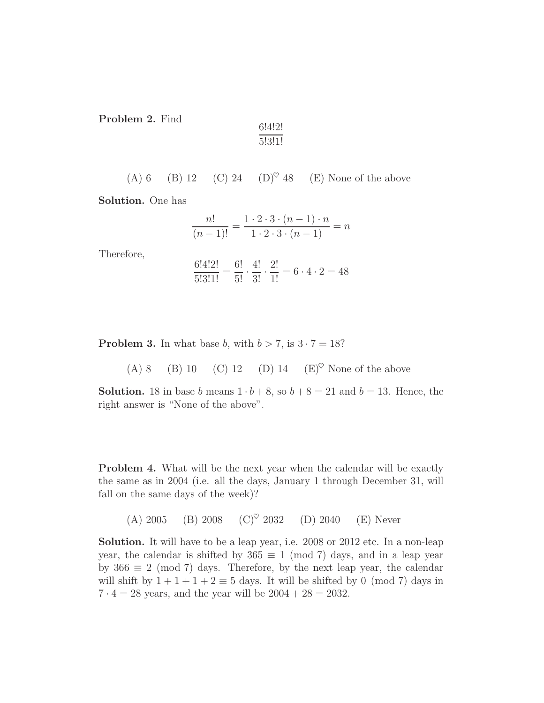**Problem 2.** Find

$$
\frac{6!4!2!}{5!3!1!}
$$

(A) 6 (B) 12 (C) 24 (D)<sup> $\heartsuit$ </sup> 48 (E) None of the above

**Solution.** One has

$$
\frac{n!}{(n-1)!} = \frac{1 \cdot 2 \cdot 3 \cdot (n-1) \cdot n}{1 \cdot 2 \cdot 3 \cdot (n-1)} = n
$$

Therefore,

$$
\frac{6!4!2!}{5!3!1!} = \frac{6!}{5!} \cdot \frac{4!}{3!} \cdot \frac{2!}{1!} = 6 \cdot 4 \cdot 2 = 48
$$

**Problem 3.** In what base b, with  $b > 7$ , is  $3 \cdot 7 = 18$ ?

(A) 8 (B) 10 (C) 12 (D) 14 (E)<sup> $\heartsuit$ </sup> None of the above

**Solution.** 18 in base b means  $1 \cdot b + 8$ , so  $b + 8 = 21$  and  $b = 13$ . Hence, the right answer is "None of the above".

**Problem 4.** What will be the next year when the calendar will be exactly the same as in 2004 (i.e. all the days, January 1 through December 31, will fall on the same days of the week)?

(A) 2005 (B) 2008 (C)<sup> $\heartsuit$ </sup> 2032 (D) 2040 (E) Never

**Solution.** It will have to be a leap year, i.e. 2008 or 2012 etc. In a non-leap year, the calendar is shifted by  $365 \equiv 1 \pmod{7}$  days, and in a leap year by  $366 \equiv 2 \pmod{7}$  days. Therefore, by the next leap year, the calendar will shift by  $1 + 1 + 1 + 2 \equiv 5$  days. It will be shifted by 0 (mod 7) days in  $7 \cdot 4 = 28$  years, and the year will be  $2004 + 28 = 2032$ .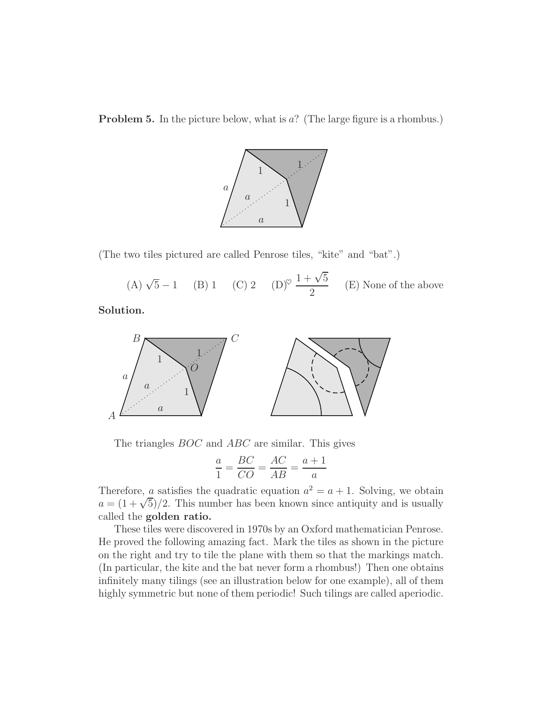**Problem 5.** In the picture below, what is a? (The large figure is a rhombus.)



(The two tiles pictured are called Penrose tiles, "kite" and "bat".)

(A)  $\sqrt{5} - 1$  (B) 1 (C) 2 (D)<sup> $\heartsuit$ </sup>  $\frac{1 + \sqrt{5}}{2}$  $\frac{\sqrt{2}}{2}$  (E) None of the above

**Solution.**



The triangles *BOC* and *ABC* are similar. This gives

$$
\frac{a}{1} = \frac{BC}{CO} = \frac{AC}{AB} = \frac{a+1}{a}
$$

Therefore, a satisfies the quadratic equation  $a^2 = a + 1$ . Solving, we obtain  $a = (1 + \sqrt{5})/2$ . This number has been known since antiquity and is usually called the **golden ratio.**

These tiles were discovered in 1970s by an Oxford mathematician Penrose. He proved the following amazing fact. Mark the tiles as shown in the picture on the right and try to tile the plane with them so that the markings match. (In particular, the kite and the bat never form a rhombus!) Then one obtains infinitely many tilings (see an illustration below for one example), all of them highly symmetric but none of them periodic! Such tilings are called aperiodic.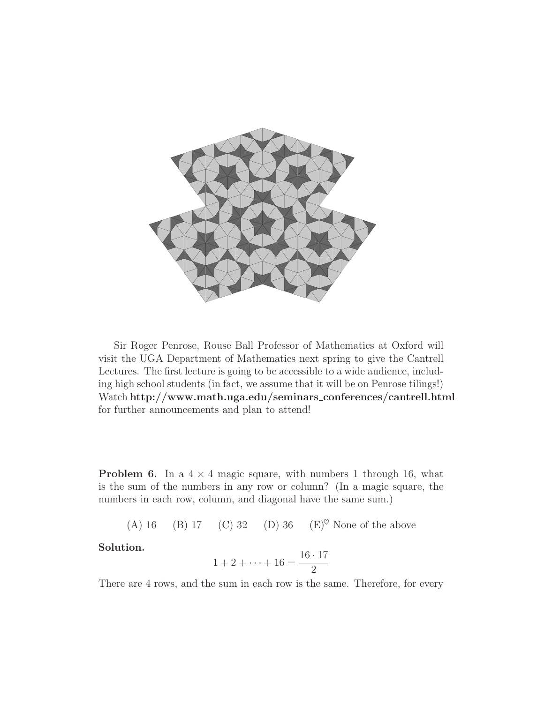

Sir Roger Penrose, Rouse Ball Professor of Mathematics at Oxford will visit the UGA Department of Mathematics next spring to give the Cantrell Lectures. The first lecture is going to be accessible to a wide audience, including high school students (in fact, we assume that it will be on Penrose tilings!) Watch **http://www.math.uga.edu/seminars conferences/cantrell.html** for further announcements and plan to attend!

**Problem 6.** In a  $4 \times 4$  magic square, with numbers 1 through 16, what is the sum of the numbers in any row or column? (In a magic square, the numbers in each row, column, and diagonal have the same sum.)

(A) 16 (B) 17 (C) 32 (D) 36 (E)<sup> $\heartsuit$ </sup> None of the above

**Solution.**

$$
1 + 2 + \dots + 16 = \frac{16 \cdot 17}{2}
$$

There are 4 rows, and the sum in each row is the same. Therefore, for every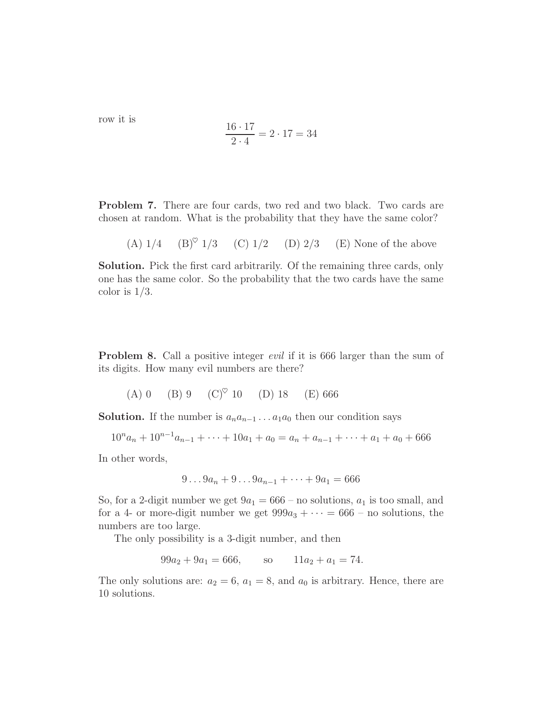row it is

$$
\frac{16 \cdot 17}{2 \cdot 4} = 2 \cdot 17 = 34
$$

**Problem 7.** There are four cards, two red and two black. Two cards are chosen at random. What is the probability that they have the same color?

(A)  $1/4$  (B)<sup> $\circ$ </sup> 1/3 (C) 1/2 (D) 2/3 (E) None of the above

**Solution.** Pick the first card arbitrarily. Of the remaining three cards, only one has the same color. So the probability that the two cards have the same color is  $1/3$ .

**Problem 8.** Call a positive integer *evil* if it is 666 larger than the sum of its digits. How many evil numbers are there?

(A) 0 (B) 9 (C)<sup> $\heartsuit$ </sup> 10 (D) 18 (E) 666

**Solution.** If the number is  $a_n a_{n-1} \ldots a_1 a_0$  then our condition says

 $10^n a_n + 10^{n-1} a_{n-1} + \cdots + 10a_1 + a_0 = a_n + a_{n-1} + \cdots + a_1 + a_0 + 666$ 

In other words,

$$
9...9a_n + 9...9a_{n-1} + \cdots + 9a_1 = 666
$$

So, for a 2-digit number we get  $9a_1 = 666$  – no solutions,  $a_1$  is too small, and for a 4- or more-digit number we get  $999a_3 + \cdots = 666$  – no solutions, the numbers are too large.

The only possibility is a 3-digit number, and then

 $99a_2 + 9a_1 = 666$ , so  $11a_2 + a_1 = 74$ .

The only solutions are:  $a_2 = 6$ ,  $a_1 = 8$ , and  $a_0$  is arbitrary. Hence, there are 10 solutions.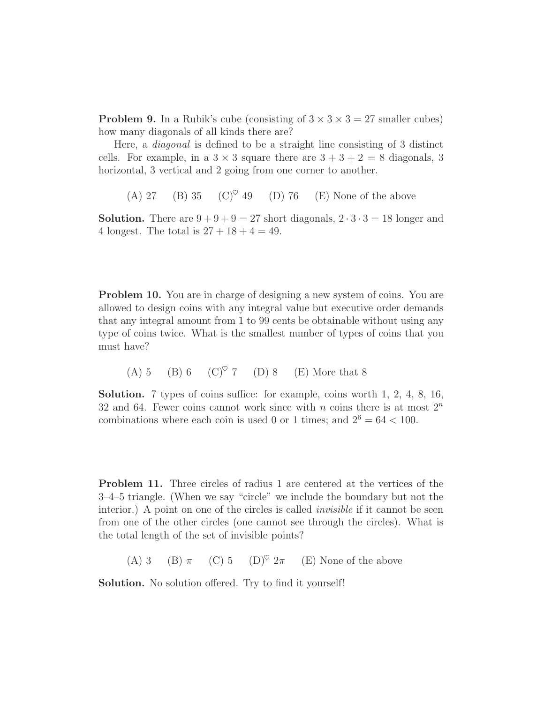**Problem 9.** In a Rubik's cube (consisting of  $3 \times 3 \times 3 = 27$  smaller cubes) how many diagonals of all kinds there are?

Here, a *diagonal* is defined to be a straight line consisting of 3 distinct cells. For example, in a  $3 \times 3$  square there are  $3 + 3 + 2 = 8$  diagonals, 3 horizontal, 3 vertical and 2 going from one corner to another.

(A) 27 (B) 35 (C)<sup> $\heartsuit$ </sup> 49 (D) 76 (E) None of the above

**Solution.** There are  $9 + 9 + 9 = 27$  short diagonals,  $2 \cdot 3 \cdot 3 = 18$  longer and 4 longest. The total is  $27 + 18 + 4 = 49$ .

**Problem 10.** You are in charge of designing a new system of coins. You are allowed to design coins with any integral value but executive order demands that any integral amount from 1 to 99 cents be obtainable without using any type of coins twice. What is the smallest number of types of coins that you must have?

(A) 5 (B) 6 (C)<sup> $\heartsuit$ </sup> 7 (D) 8 (E) More that 8

**Solution.** 7 types of coins suffice: for example, coins worth 1, 2, 4, 8, 16, 32 and 64. Fewer coins cannot work since with n coins there is at most  $2^n$ combinations where each coin is used 0 or 1 times; and  $2^6 = 64 < 100$ .

**Problem 11.** Three circles of radius 1 are centered at the vertices of the 3–4–5 triangle. (When we say "circle" we include the boundary but not the interior.) A point on one of the circles is called *invisible* if it cannot be seen from one of the other circles (one cannot see through the circles). What is the total length of the set of invisible points?

(A) 3 (B)  $\pi$  (C) 5 (D)<sup> $\heartsuit$ </sup> 2 $\pi$  (E) None of the above

**Solution.** No solution offered. Try to find it yourself!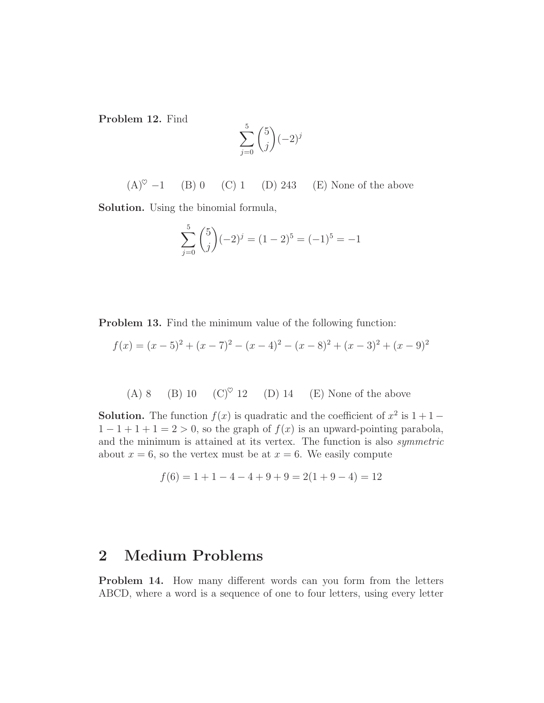**Problem 12.** Find

$$
\sum_{j=0}^{5} {5 \choose j} (-2)^j
$$

 $(A)^\heartsuit$  −1 (B) 0 (C) 1 (D) 243 (E) None of the above

**Solution.** Using the binomial formula,

$$
\sum_{j=0}^{5} {5 \choose j} (-2)^j = (1-2)^5 = (-1)^5 = -1
$$

**Problem 13.** Find the minimum value of the following function:

$$
f(x) = (x-5)^2 + (x-7)^2 - (x-4)^2 - (x-8)^2 + (x-3)^2 + (x-9)^2
$$

(A) 8 (B) 10  $(C)^{\heartsuit}$  12 (D) 14 (E) None of the above

**Solution.** The function  $f(x)$  is quadratic and the coefficient of  $x^2$  is  $1+1 1-1+1+1=2>0$ , so the graph of  $f(x)$  is an upward-pointing parabola, and the minimum is attained at its vertex. The function is also *symmetric* about  $x = 6$ , so the vertex must be at  $x = 6$ . We easily compute

$$
f(6) = 1 + 1 - 4 - 4 + 9 + 9 = 2(1 + 9 - 4) = 12
$$

### **2 Medium Problems**

**Problem 14.** How many different words can you form from the letters ABCD, where a word is a sequence of one to four letters, using every letter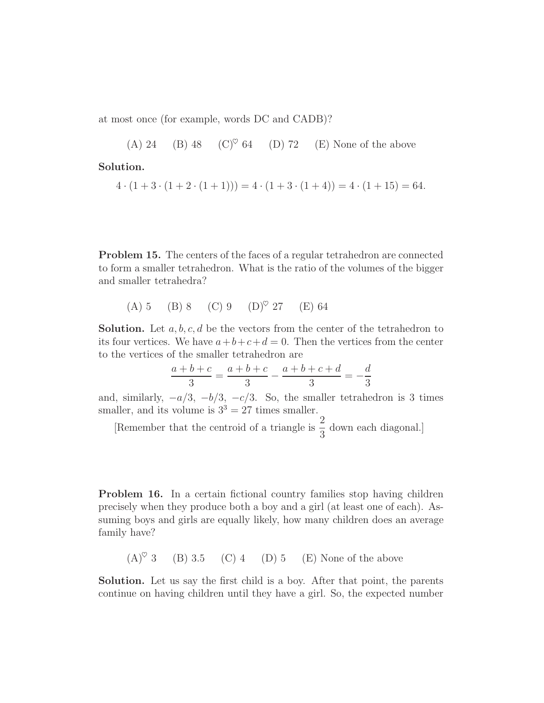at most once (for example, words DC and CADB)?

(A) 24 (B) 48 (C)<sup> $\heartsuit$ </sup> 64 (D) 72 (E) None of the above

**Solution.**

$$
4 \cdot (1 + 3 \cdot (1 + 2 \cdot (1 + 1))) = 4 \cdot (1 + 3 \cdot (1 + 4)) = 4 \cdot (1 + 15) = 64.
$$

**Problem 15.** The centers of the faces of a regular tetrahedron are connected to form a smaller tetrahedron. What is the ratio of the volumes of the bigger and smaller tetrahedra?

(A) 5 (B) 8 (C) 9 (D)♥ 27 (E) 64

**Solution.** Let  $a, b, c, d$  be the vectors from the center of the tetrahedron to its four vertices. We have  $a+b+c+d=0$ . Then the vertices from the center to the vertices of the smaller tetrahedron are

$$
\frac{a+b+c}{3} = \frac{a+b+c}{3} - \frac{a+b+c+d}{3} = -\frac{d}{3}
$$

and, similarly,  $-a/3$ ,  $-b/3$ ,  $-c/3$ . So, the smaller tetrahedron is 3 times smaller, and its volume is  $3^3 = 27$  times smaller.

[Remember that the centroid of a triangle is  $\frac{2}{3}$ ]  $\frac{2}{3}$  down each diagonal.]

**Problem 16.** In a certain fictional country families stop having children precisely when they produce both a boy and a girl (at least one of each). Assuming boys and girls are equally likely, how many children does an average family have?

 $(A)^\heartsuit$  3 (B) 3.5 (C) 4 (D) 5 (E) None of the above

**Solution.** Let us say the first child is a boy. After that point, the parents continue on having children until they have a girl. So, the expected number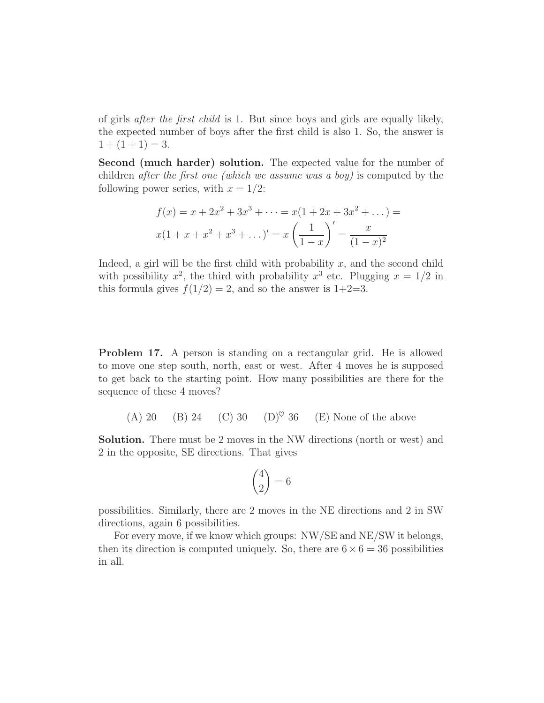of girls *after the first child* is 1. But since boys and girls are equally likely, the expected number of boys after the first child is also 1. So, the answer is  $1 + (1 + 1) = 3.$ 

**Second (much harder) solution.** The expected value for the number of children *after the first one (which we assume was a boy)* is computed by the following power series, with  $x = 1/2$ :

$$
f(x) = x + 2x2 + 3x3 + \dots = x(1 + 2x + 3x2 + \dots) =
$$
  

$$
x(1 + x + x2 + x3 + \dots)' = x\left(\frac{1}{1 - x}\right)' = \frac{x}{(1 - x)^{2}}
$$

Indeed, a girl will be the first child with probability  $x$ , and the second child with possibility  $x^2$ , the third with probability  $x^3$  etc. Plugging  $x = 1/2$  in this formula gives  $f(1/2) = 2$ , and so the answer is  $1+2=3$ .

**Problem 17.** A person is standing on a rectangular grid. He is allowed to move one step south, north, east or west. After 4 moves he is supposed to get back to the starting point. How many possibilities are there for the sequence of these 4 moves?

(A) 20 (B) 24 (C) 30 (D)<sup> $\heartsuit$ </sup> 36 (E) None of the above

**Solution.** There must be 2 moves in the NW directions (north or west) and 2 in the opposite, SE directions. That gives

$$
\binom{4}{2} = 6
$$

possibilities. Similarly, there are 2 moves in the NE directions and 2 in SW directions, again 6 possibilities.

For every move, if we know which groups: NW/SE and NE/SW it belongs, then its direction is computed uniquely. So, there are  $6 \times 6 = 36$  possibilities in all.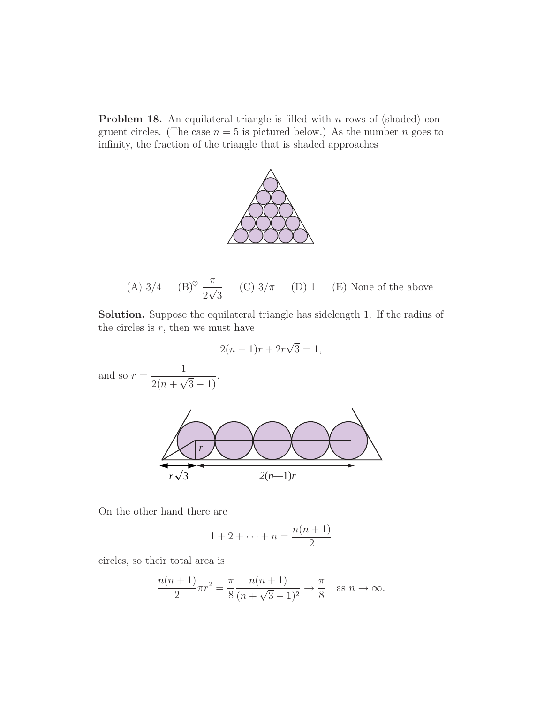**Problem 18.** An equilateral triangle is filled with n rows of (shaded) congruent circles. (The case  $n = 5$  is pictured below.) As the number n goes to infinity, the fraction of the triangle that is shaded approaches



(A) 
$$
3/4
$$
 (B)<sup>°</sup>  $\frac{\pi}{2\sqrt{3}}$  (C)  $3/\pi$  (D) 1 (E) None of the above

**Solution.** Suppose the equilateral triangle has sidelength 1. If the radius of the circles is  $r$ , then we must have

$$
2(n-1)r + 2r\sqrt{3} = 1,
$$

and so  $r = \frac{1}{2(n + \sqrt{3} - 1)}$ .



On the other hand there are

$$
1+2+\cdots+n=\frac{n(n+1)}{2}
$$

circles, so their total area is

$$
\frac{n(n+1)}{2}\pi r^2 = \frac{\pi}{8} \frac{n(n+1)}{(n+\sqrt{3}-1)^2} \to \frac{\pi}{8} \text{ as } n \to \infty.
$$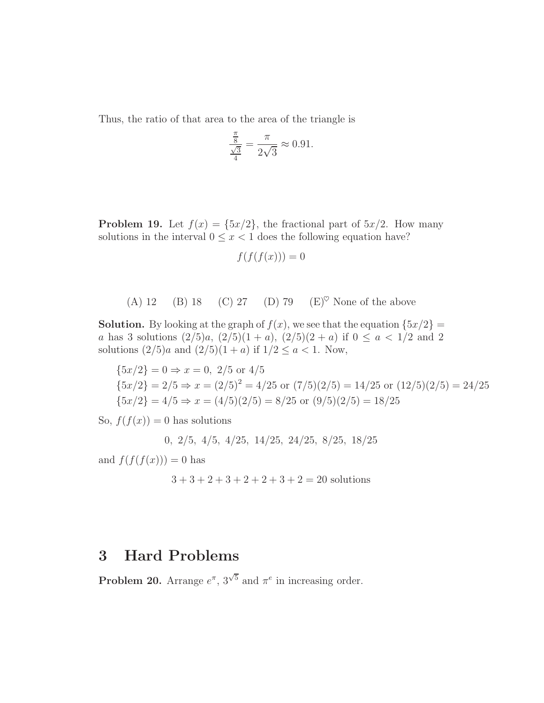Thus, the ratio of that area to the area of the triangle is

$$
\frac{\frac{\pi}{8}}{\frac{\sqrt{3}}{4}} = \frac{\pi}{2\sqrt{3}} \approx 0.91.
$$

**Problem 19.** Let  $f(x) = \{5x/2\}$ , the fractional part of  $5x/2$ . How many solutions in the interval  $0 \leq x < 1$  does the following equation have?

$$
f(f(f(x))) = 0
$$

(A) 12 (B) 18 (C) 27 (D) 79 (E) 
$$
\degree
$$
 None of the above

**Solution.** By looking at the graph of  $f(x)$ , we see that the equation  $\{5x/2\}$ a has 3 solutions  $\left(\frac{2}{5}\right)a$ ,  $\left(\frac{2}{5}\right)(1+a)$ ,  $\left(\frac{2}{5}\right)(2+a)$  if  $0 \le a < 1/2$  and 2 solutions  $(2/5)a$  and  $(2/5)(1 + a)$  if  $1/2 \le a < 1$ . Now,

$$
\{5x/2\} = 0 \Rightarrow x = 0, 2/5 \text{ or } 4/5
$$
  

$$
\{5x/2\} = 2/5 \Rightarrow x = (2/5)^2 = 4/25 \text{ or } (7/5)(2/5) = 14/25 \text{ or } (12/5)(2/5) = 24/25
$$
  

$$
\{5x/2\} = 4/5 \Rightarrow x = (4/5)(2/5) = 8/25 \text{ or } (9/5)(2/5) = 18/25
$$

So,  $f(f(x)) = 0$  has solutions

$$
0, 2/5, 4/5, 4/25, 14/25, 24/25, 8/25, 18/25
$$

and  $f(f(f(x))) = 0$  has

 $3 + 3 + 2 + 3 + 2 + 2 + 3 + 2 = 20$  solutions

## **3 Hard Problems**

**Problem 20.** Arrange  $e^{\pi}$ ,  $3^{\sqrt{5}}$  and  $\pi^e$  in increasing order.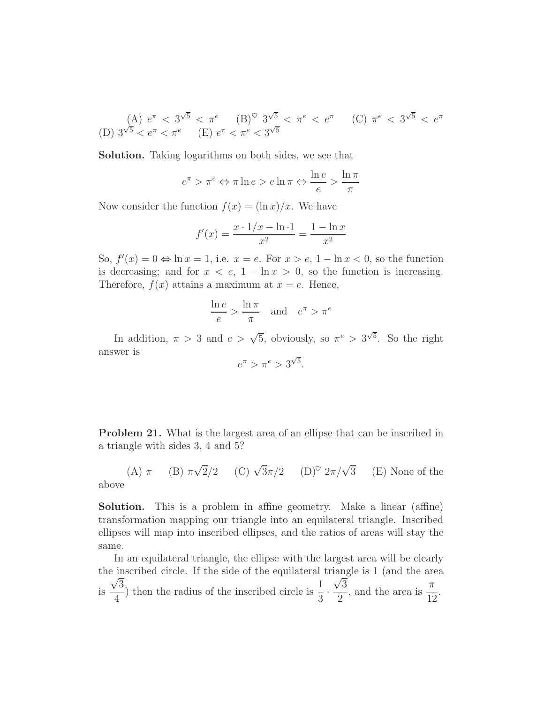(A) 
$$
e^{\pi} < 3^{\sqrt{5}} < \pi^e
$$
 (B)<sup>°</sup>  $3^{\sqrt{5}} < \pi^e < e^{\pi}$  (C)  $\pi^e < 3^{\sqrt{5}} < e^{\pi}$   
(D)  $3^{\sqrt{5}} < e^{\pi} < \pi^e$  (E)  $e^{\pi} < \pi^e < 3^{\sqrt{5}}$ 

**Solution.** Taking logarithms on both sides, we see that

$$
e^{\pi} > \pi^e \Leftrightarrow \pi \ln e > e \ln \pi \Leftrightarrow \frac{\ln e}{e} > \frac{\ln \pi}{\pi}
$$

Now consider the function  $f(x) = (\ln x)/x$ . We have

$$
f'(x) = \frac{x \cdot 1/x - \ln 1}{x^2} = \frac{1 - \ln x}{x^2}
$$

So,  $f'(x) = 0 \Leftrightarrow \ln x = 1$ , i.e.  $x = e$ . For  $x > e$ ,  $1 - \ln x < 0$ , so the function is decreasing; and for  $x < e$ ,  $1 - \ln x > 0$ , so the function is increasing. Therefore,  $f(x)$  attains a maximum at  $x = e$ . Hence,

$$
\frac{\ln e}{e} > \frac{\ln \pi}{\pi} \quad \text{and} \quad e^{\pi} > \pi^e
$$

In addition,  $\pi > 3$  and  $e > \sqrt{5}$ , obviously, so  $\pi^e > 3^{\sqrt{5}}$ . So the right answer is

$$
e^{\pi} > \pi^e > 3^{\sqrt{5}}.
$$

**Problem 21.** What is the largest area of an ellipse that can be inscribed in a triangle with sides 3, 4 and 5?

(A) 
$$
\pi
$$
 (B)  $\pi\sqrt{2}/2$  (C)  $\sqrt{3}\pi/2$  (D)<sup>°</sup>  $2\pi/\sqrt{3}$  (E) None of the above

**Solution.** This is a problem in affine geometry. Make a linear (affine) transformation mapping our triangle into an equilateral triangle. Inscribed ellipses will map into inscribed ellipses, and the ratios of areas will stay the

same.

In an equilateral triangle, the ellipse with the largest area will be clearly the inscribed circle. If the side of the equilateral triangle is 1 (and the area is √3  $\frac{\sqrt{3}}{4}$ ) then the radius of the inscribed circle is  $\frac{1}{3}$ . diangle is 1 (and the area)<br> $\frac{\sqrt{3}}{2}$ , and the area is  $\frac{\pi}{12}$ .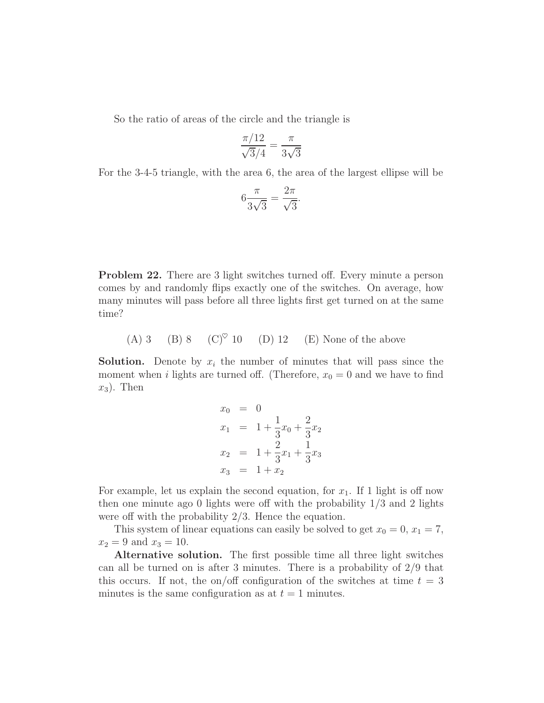So the ratio of areas of the circle and the triangle is

$$
\frac{\pi/12}{\sqrt{3}/4} = \frac{\pi}{3\sqrt{3}}
$$

For the 3-4-5 triangle, with the area 6, the area of the largest ellipse will be

$$
6\frac{\pi}{3\sqrt{3}} = \frac{2\pi}{\sqrt{3}}.
$$

**Problem 22.** There are 3 light switches turned off. Every minute a person comes by and randomly flips exactly one of the switches. On average, how many minutes will pass before all three lights first get turned on at the same time?

(A) 3 (B) 8 (C) $^\circ$  10 (D) 12 (E) None of the above

**Solution.** Denote by  $x_i$  the number of minutes that will pass since the moment when *i* lights are turned off. (Therefore,  $x_0 = 0$  and we have to find  $x_3$ ). Then

$$
x_0 = 0
$$
  
\n
$$
x_1 = 1 + \frac{1}{3}x_0 + \frac{2}{3}x_2
$$
  
\n
$$
x_2 = 1 + \frac{2}{3}x_1 + \frac{1}{3}x_3
$$
  
\n
$$
x_3 = 1 + x_2
$$

For example, let us explain the second equation, for  $x_1$ . If 1 light is off now then one minute ago 0 lights were off with the probability 1/3 and 2 lights were off with the probability 2/3. Hence the equation.

This system of linear equations can easily be solved to get  $x_0 = 0, x_1 = 7$ ,  $x_2 = 9$  and  $x_3 = 10$ .

**Alternative solution.** The first possible time all three light switches can all be turned on is after 3 minutes. There is a probability of  $2/9$  that this occurs. If not, the on/off configuration of the switches at time  $t = 3$ minutes is the same configuration as at  $t = 1$  minutes.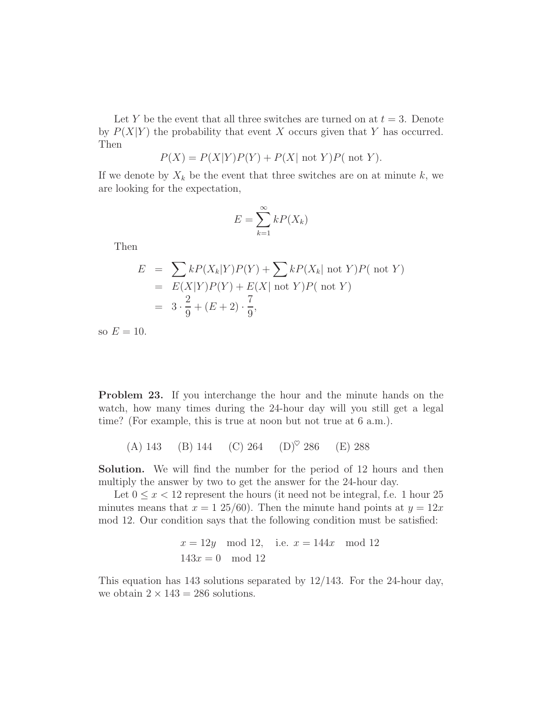Let Y be the event that all three switches are turned on at  $t = 3$ . Denote by  $P(X|Y)$  the probability that event X occurs given that Y has occurred. Then

$$
P(X) = P(X|Y)P(Y) + P(X|\text{ not } Y)P(\text{ not } Y).
$$

If we denote by  $X_k$  be the event that three switches are on at minute k, we are looking for the expectation,

$$
E = \sum_{k=1}^{\infty} kP(X_k)
$$

Then

$$
E = \sum kP(X_k|Y)P(Y) + \sum kP(X_k| \text{ not } Y)P(\text{ not } Y)
$$
  
=  $E(X|Y)P(Y) + E(X| \text{ not } Y)P(\text{ not } Y)$   
=  $3 \cdot \frac{2}{9} + (E+2) \cdot \frac{7}{9}$ ,

so  $E = 10$ .

**Problem 23.** If you interchange the hour and the minute hands on the watch, how many times during the 24-hour day will you still get a legal time? (For example, this is true at noon but not true at 6 a.m.).

(A) 143 (B) 144 (C) 264 (D)<sup> $\heartsuit$ </sup> 286 (E) 288

**Solution.** We will find the number for the period of 12 hours and then multiply the answer by two to get the answer for the 24-hour day.

Let  $0 \leq x < 12$  represent the hours (it need not be integral, f.e. 1 hour 25 minutes means that  $x = 1\ 25/60$ . Then the minute hand points at  $y = 12x$ mod 12. Our condition says that the following condition must be satisfied:

$$
x = 12y \mod 12
$$
, i.e.  $x = 144x \mod 12$   
 $143x = 0 \mod 12$ 

This equation has 143 solutions separated by 12/143. For the 24-hour day, we obtain  $2 \times 143 = 286$  solutions.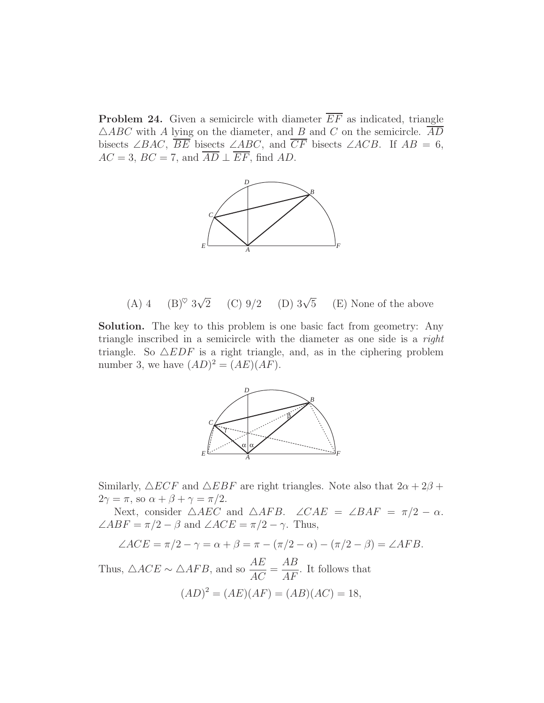**Problem 24.** Given a semicircle with diameter  $\overline{EF}$  as indicated, triangle  $\triangle ABC$  with A lying on the diameter, and B and C on the semicircle.  $\overline{AD}$ bisects ∠BAC,  $\overline{BE}$  bisects ∠ABC, and  $\overline{CF}$  bisects ∠ACB. If  $AB = 6$ ,  $AC = 3$ ,  $BC = 7$ , and  $\overline{AD} \perp \overline{EF}$ , find AD.



(A) 4 (B)<sup> $\heartsuit$ </sup> 3 $\sqrt{2}$ (C)  $9/2$  (D)  $3\sqrt{5}$ (E) None of the above

**Solution.** The key to this problem is one basic fact from geometry: Any triangle inscribed in a semicircle with the diameter as one side is a *right* triangle. So  $\triangle EDF$  is a right triangle, and, as in the ciphering problem number 3, we have  $(AD)^2 = (AE)(AF)$ .



Similarly,  $\triangle ECF$  and  $\triangle EBF$  are right triangles. Note also that  $2\alpha + 2\beta +$  $2\gamma = \pi$ , so  $\alpha + \beta + \gamma = \pi/2$ .

Next, consider  $\triangle AEC$  and  $\triangle AFB$ .  $\angle CAE = \angle BAF = \pi/2 - \alpha$ .  $\angle ABF = \pi/2 - \beta$  and  $\angle ACE = \pi/2 - \gamma$ . Thus,

$$
\angle ACE = \pi/2 - \gamma = \alpha + \beta = \pi - (\pi/2 - \alpha) - (\pi/2 - \beta) = \angle AFB.
$$

Thus,  $\triangle ACE \sim \triangle AFB$ , and so  $\frac{AE}{AC} = \frac{AB}{AF}$ . It follows that  $(AD)^2 = (AE)(AF) = (AB)(AC) = 18,$